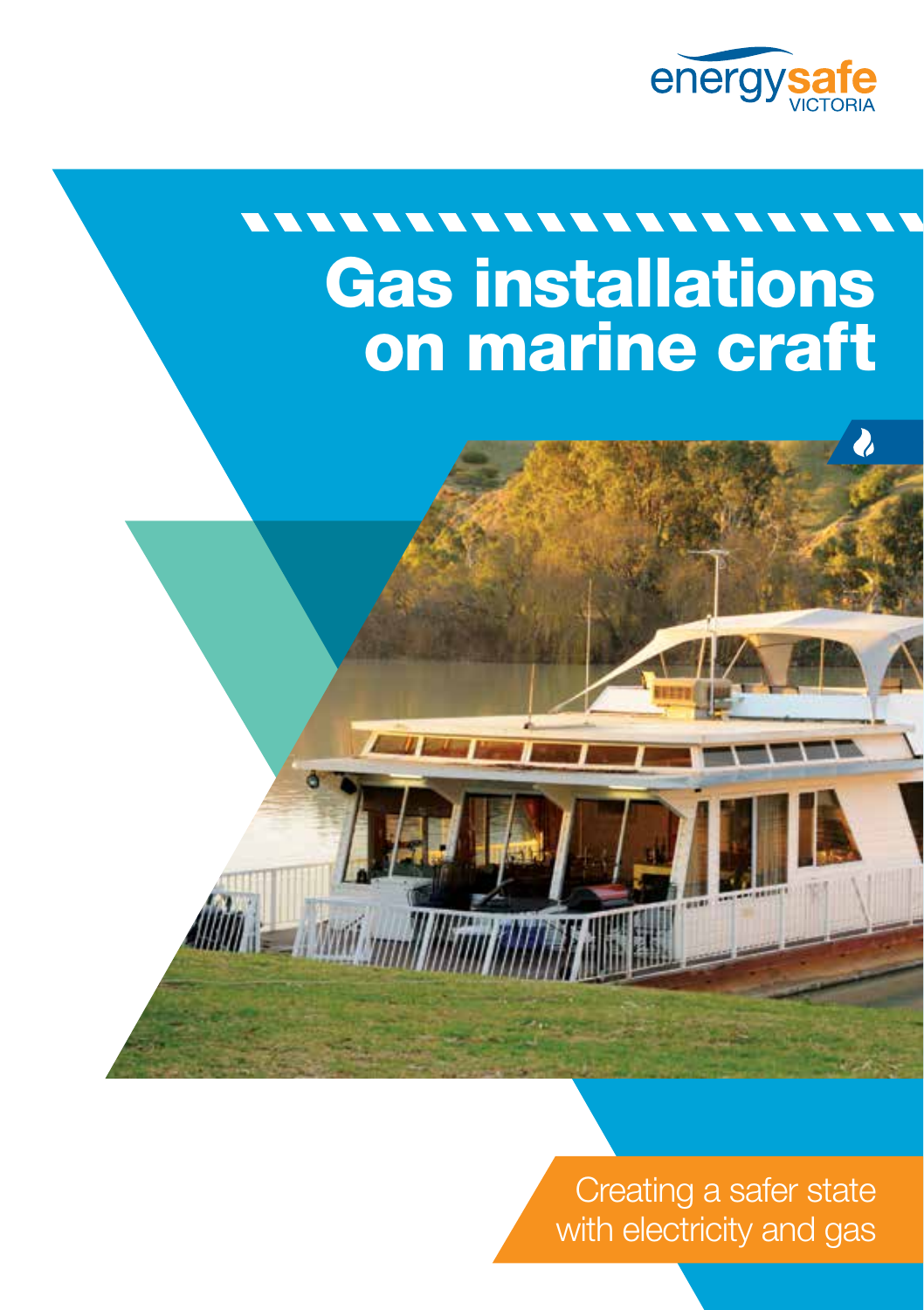

 $\lambda$ 

# \*\*\*\*\*\*\*\*\*\*\*\*\*\*\*  $\overline{\phantom{a}}$ Gas installations on marine craft



 $\sqrt{1+x^2}$ 

Creating a safer state with electricity and gas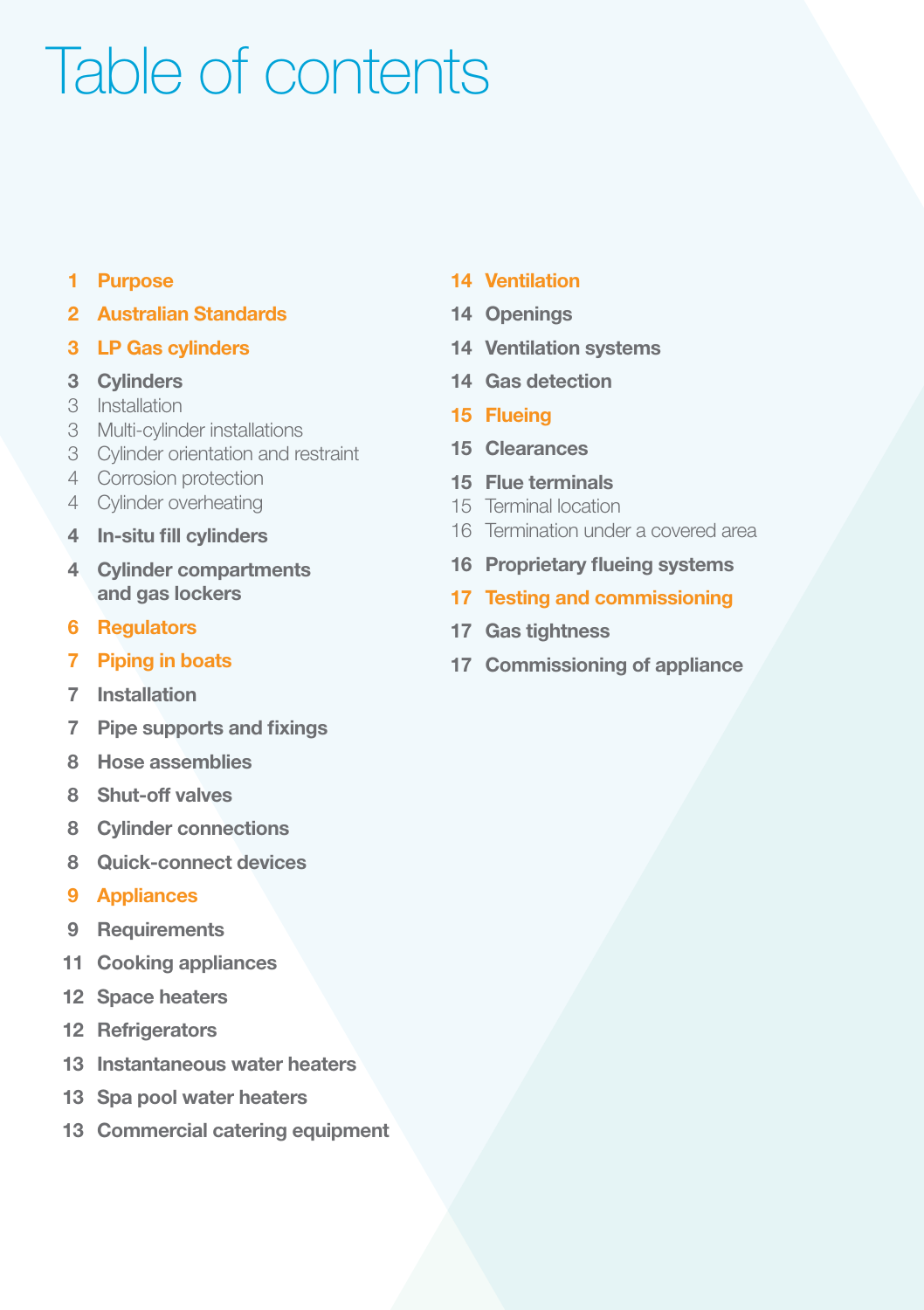# Table of contents

### Purpose

- Australian Standards
- LP Gas cylinders
- Cylinders
- Installation
- Multi-cylinder installations
- Cylinder orientation and restraint
- Corrosion protection
- Cylinder overheating
- In-situ fill cylinders
- 4 Cylinder compartments and gas lockers
- Regulators
- Piping in boats
- Installation
- Pipe supports and fixings
- Hose assemblies
- Shut-off valves
- Cylinder connections
- Quick-connect devices
- Appliances
- Requirements
- Cooking appliances
- Space heaters
- Refrigerators
- Instantaneous water heaters
- Spa pool water heaters
- Commercial catering equipment

#### Ventilation

- Openings
- Ventilation systems
- Gas detection
- Flueing
- Clearances
- Flue terminals
- Terminal location
- Termination under a covered area
- Proprietary flueing systems
- Testing and commissioning
- Gas tightness
- Commissioning of appliance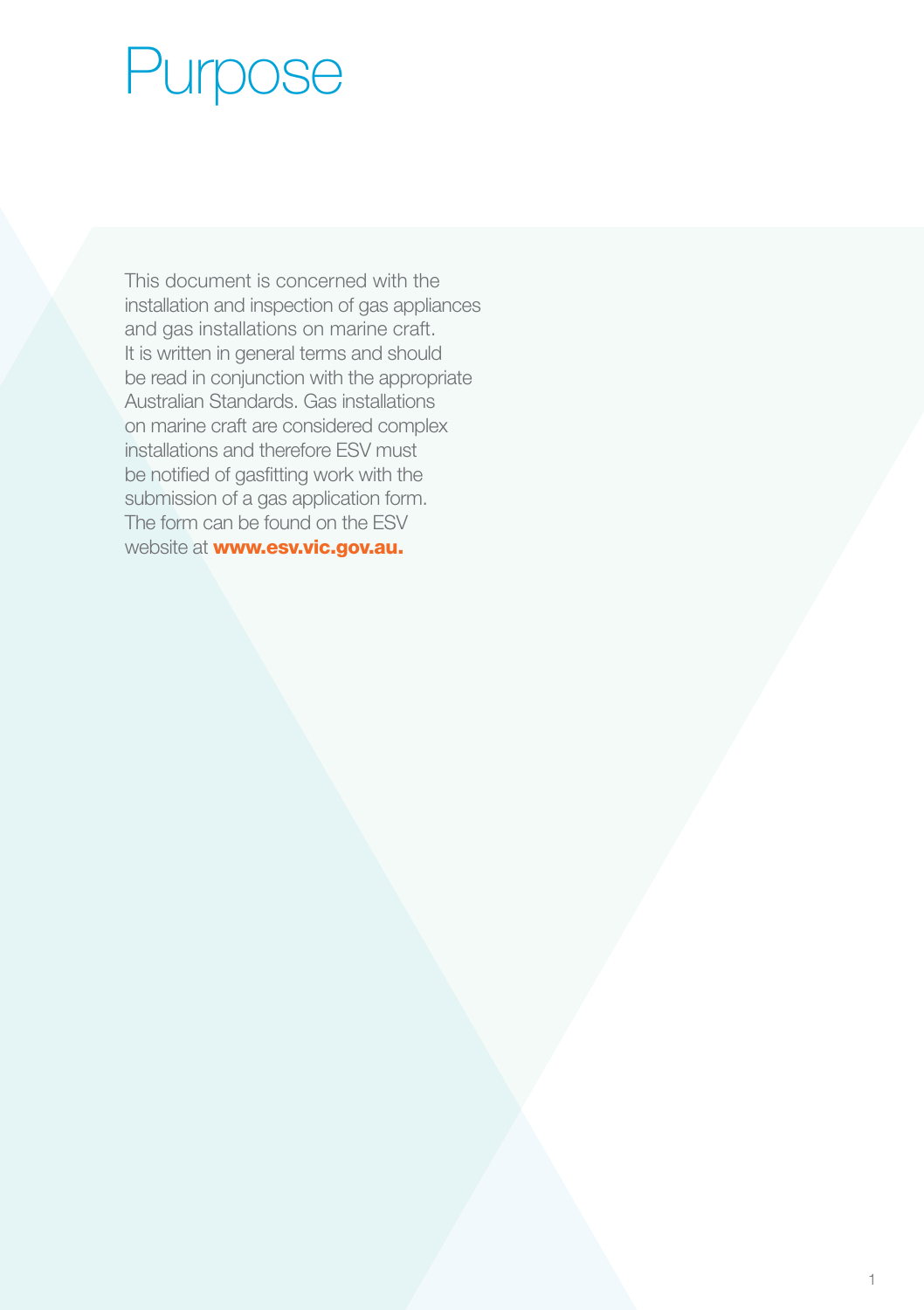# Purpose

This document is concerned with the installation and inspection of gas appliances and gas installations on marine craft. It is written in general terms and should be read in conjunction with the appropriate Australian Standards. Gas installations on marine craft are considered complex installations and therefore ESV must be notified of gasfitting work with the submission of a gas application form. The form can be found on the ESV website at **www.esv.vic.gov.au.**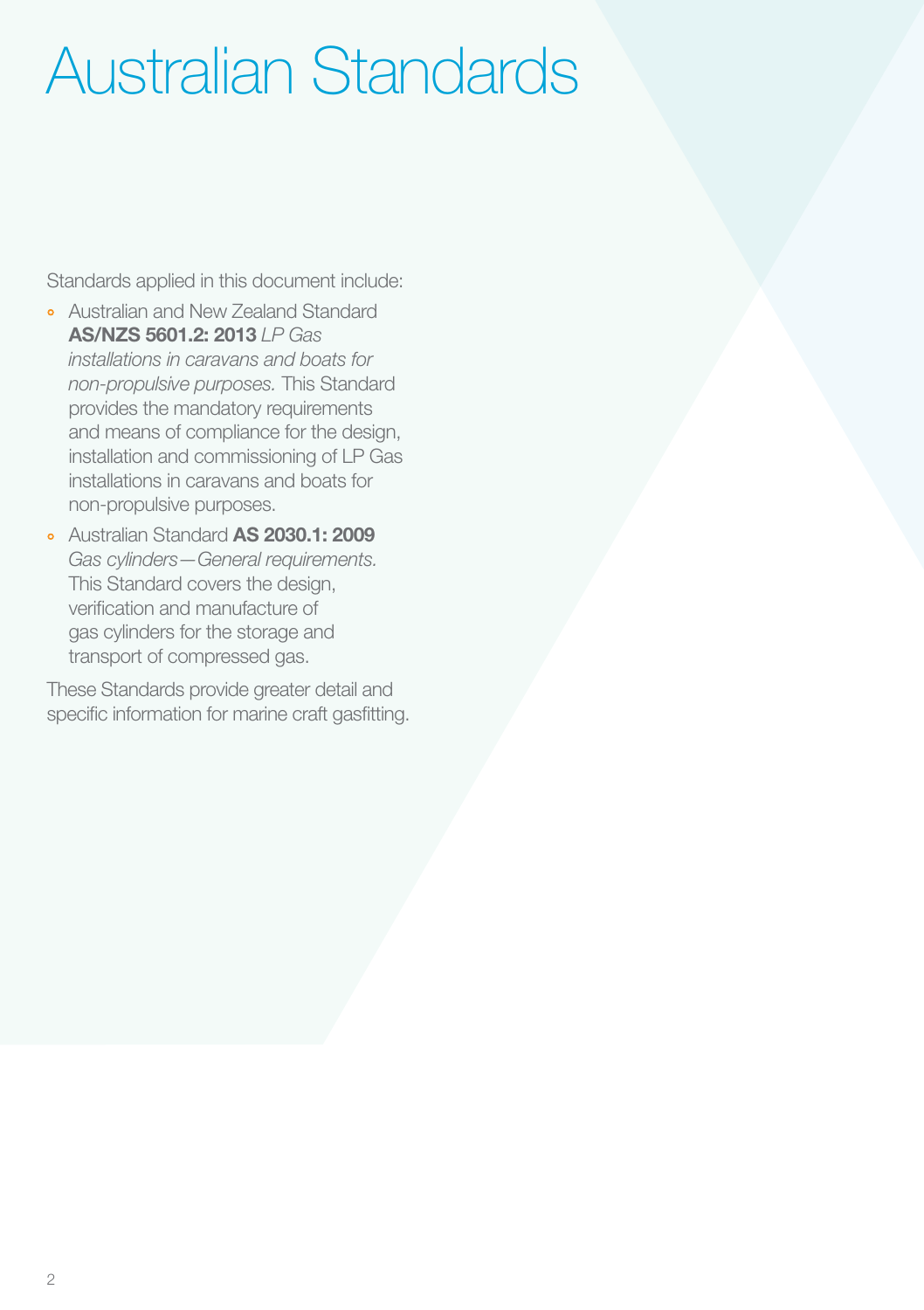# Australian Standards

Standards applied in this document include:

- ° Australian and New Zealand Standard AS/NZS 5601.2: 2013 *LP Gas installations in caravans and boats for non-propulsive purposes.* This Standard provides the mandatory requirements and means of compliance for the design, installation and commissioning of LP Gas installations in caravans and boats for non-propulsive purposes.
- ° Australian Standard AS 2030.1: 2009 *Gas cylinders—General requirements.*  This Standard covers the design, verification and manufacture of gas cylinders for the storage and transport of compressed gas.

These Standards provide greater detail and specific information for marine craft gasfitting.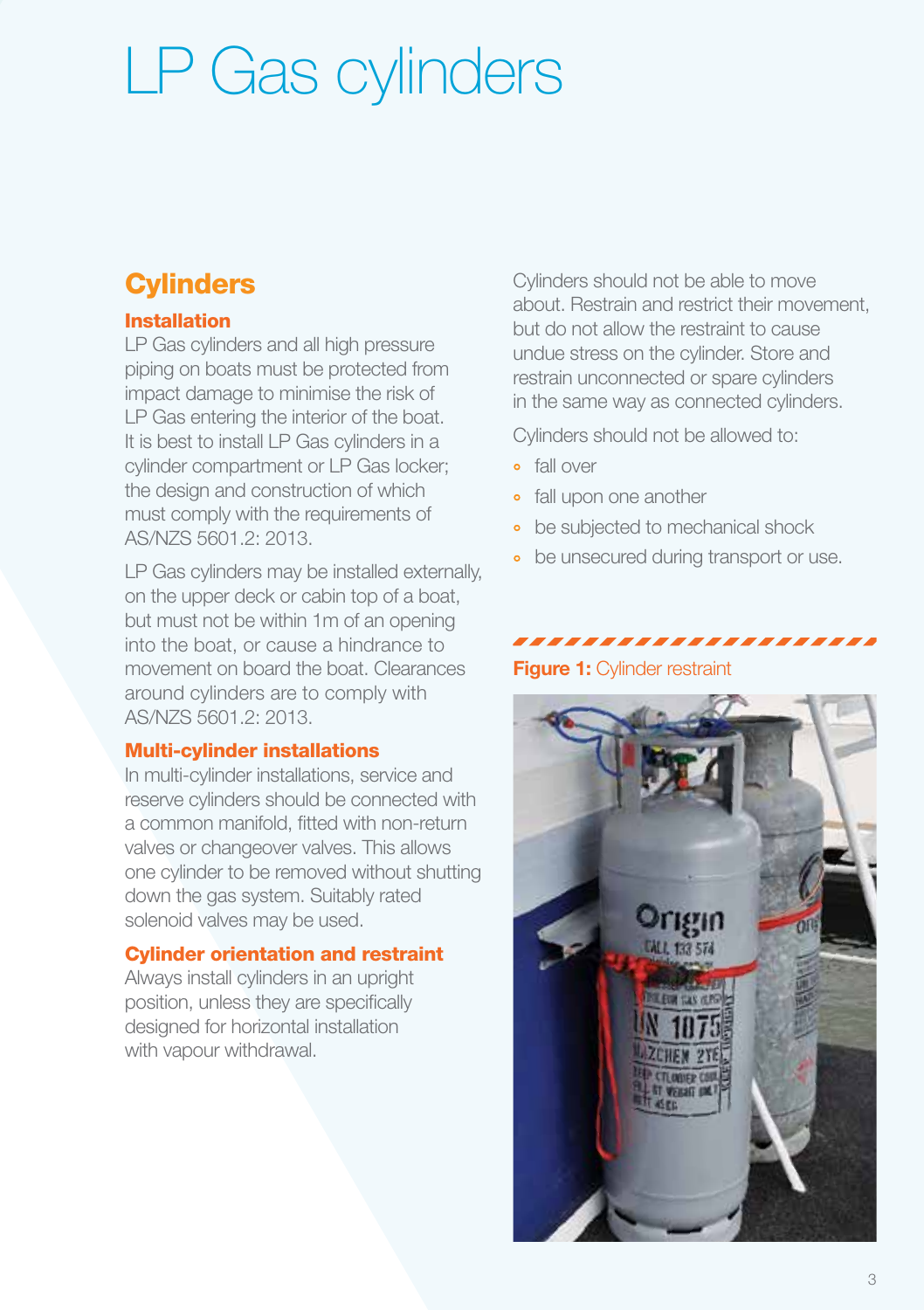# LP Gas cylinders

# **Cylinders**

### Installation

LP Gas cylinders and all high pressure piping on boats must be protected from impact damage to minimise the risk of LP Gas entering the interior of the boat. It is best to install LP Gas cylinders in a cylinder compartment or LP Gas locker; the design and construction of which must comply with the requirements of AS/NZS 5601.2: 2013.

LP Gas cylinders may be installed externally, on the upper deck or cabin top of a boat, but must not be within 1m of an opening into the boat, or cause a hindrance to movement on board the boat. Clearances around cylinders are to comply with AS/NZS 5601.2: 2013.

### Multi-cylinder installations

In multi-cylinder installations, service and reserve cylinders should be connected with a common manifold, fitted with non-return valves or changeover valves. This allows one cylinder to be removed without shutting down the gas system. Suitably rated solenoid valves may be used.

### Cylinder orientation and restraint

Always install cylinders in an upright position, unless they are specifically designed for horizontal installation with vapour withdrawal.

Cylinders should not be able to move about. Restrain and restrict their movement, but do not allow the restraint to cause undue stress on the cylinder. Store and restrain unconnected or spare cylinders in the same way as connected cylinders.

Cylinders should not be allowed to:

- fall over
- fall upon one another
- be subjected to mechanical shock
- be unsecured during transport or use.

### ,,,,,,,,,,,,,,,,, Figure 1: Cylinder restraint

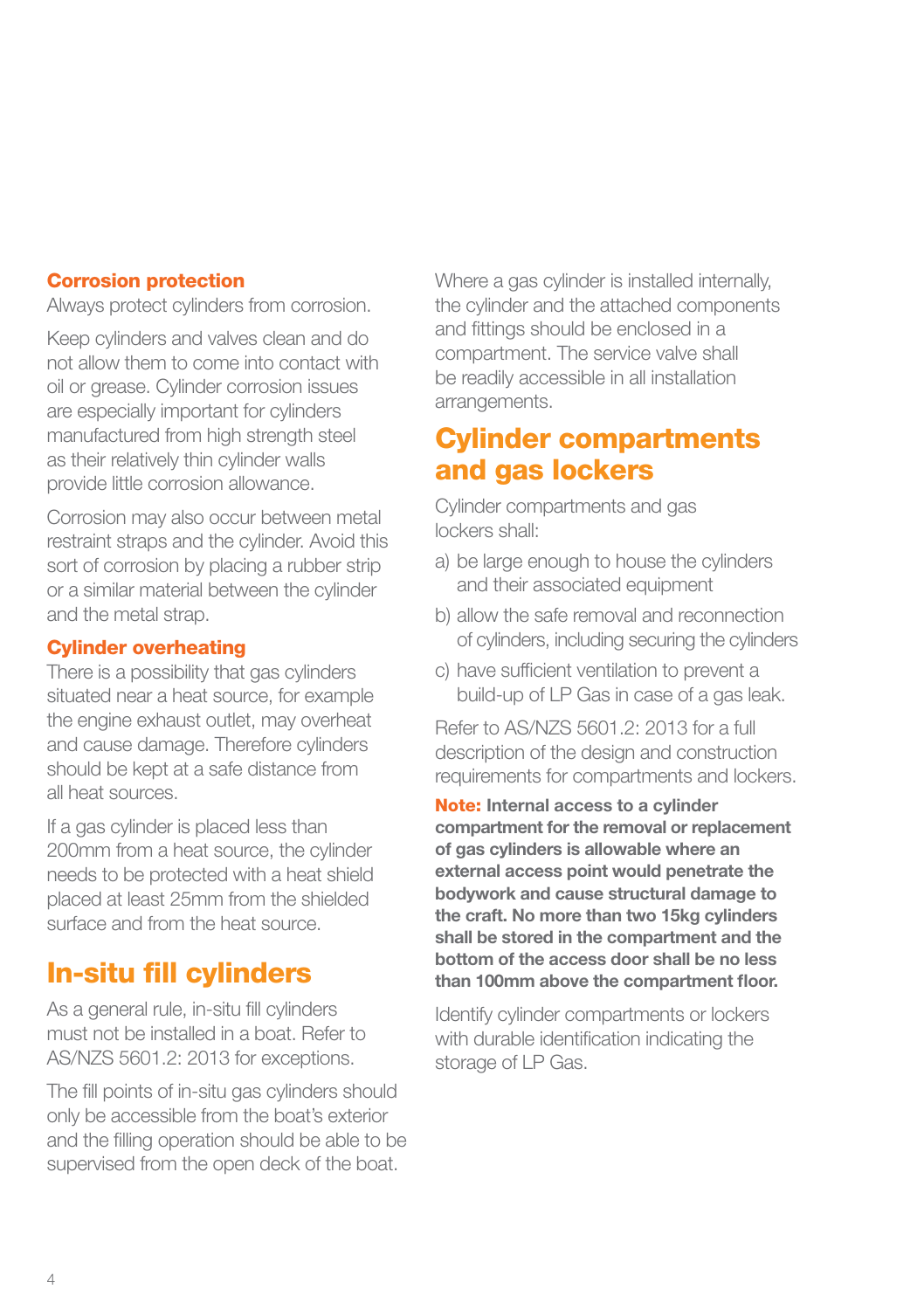#### Corrosion protection

Always protect cylinders from corrosion.

Keep cylinders and valves clean and do not allow them to come into contact with oil or grease. Cylinder corrosion issues are especially important for cylinders manufactured from high strength steel as their relatively thin cylinder walls provide little corrosion allowance.

Corrosion may also occur between metal restraint straps and the cylinder. Avoid this sort of corrosion by placing a rubber strip or a similar material between the cylinder and the metal strap.

#### Cylinder overheating

There is a possibility that gas cylinders situated near a heat source, for example the engine exhaust outlet, may overheat and cause damage. Therefore cylinders should be kept at a safe distance from all heat sources.

If a gas cylinder is placed less than 200mm from a heat source, the cylinder needs to be protected with a heat shield placed at least 25mm from the shielded surface and from the heat source.

# In-situ fill cylinders

As a general rule, in-situ fill cylinders must not be installed in a boat. Refer to AS/NZS 5601.2: 2013 for exceptions.

The fill points of in-situ gas cylinders should only be accessible from the boat's exterior and the filling operation should be able to be supervised from the open deck of the boat.

Where a gas cylinder is installed internally, the cylinder and the attached components and fittings should be enclosed in a compartment. The service valve shall be readily accessible in all installation arrangements.

## Cylinder compartments and gas lockers

Cylinder compartments and gas lockers shall:

- a) be large enough to house the cylinders and their associated equipment
- b) allow the safe removal and reconnection of cylinders, including securing the cylinders
- c) have sufficient ventilation to prevent a build-up of LP Gas in case of a gas leak.

Refer to AS/NZS 5601.2: 2013 for a full description of the design and construction requirements for compartments and lockers.

Note: Internal access to a cylinder compartment for the removal or replacement of gas cylinders is allowable where an external access point would penetrate the bodywork and cause structural damage to the craft. No more than two 15kg cylinders shall be stored in the compartment and the bottom of the access door shall be no less than 100mm above the compartment floor.

Identify cylinder compartments or lockers with durable identification indicating the storage of LP Gas.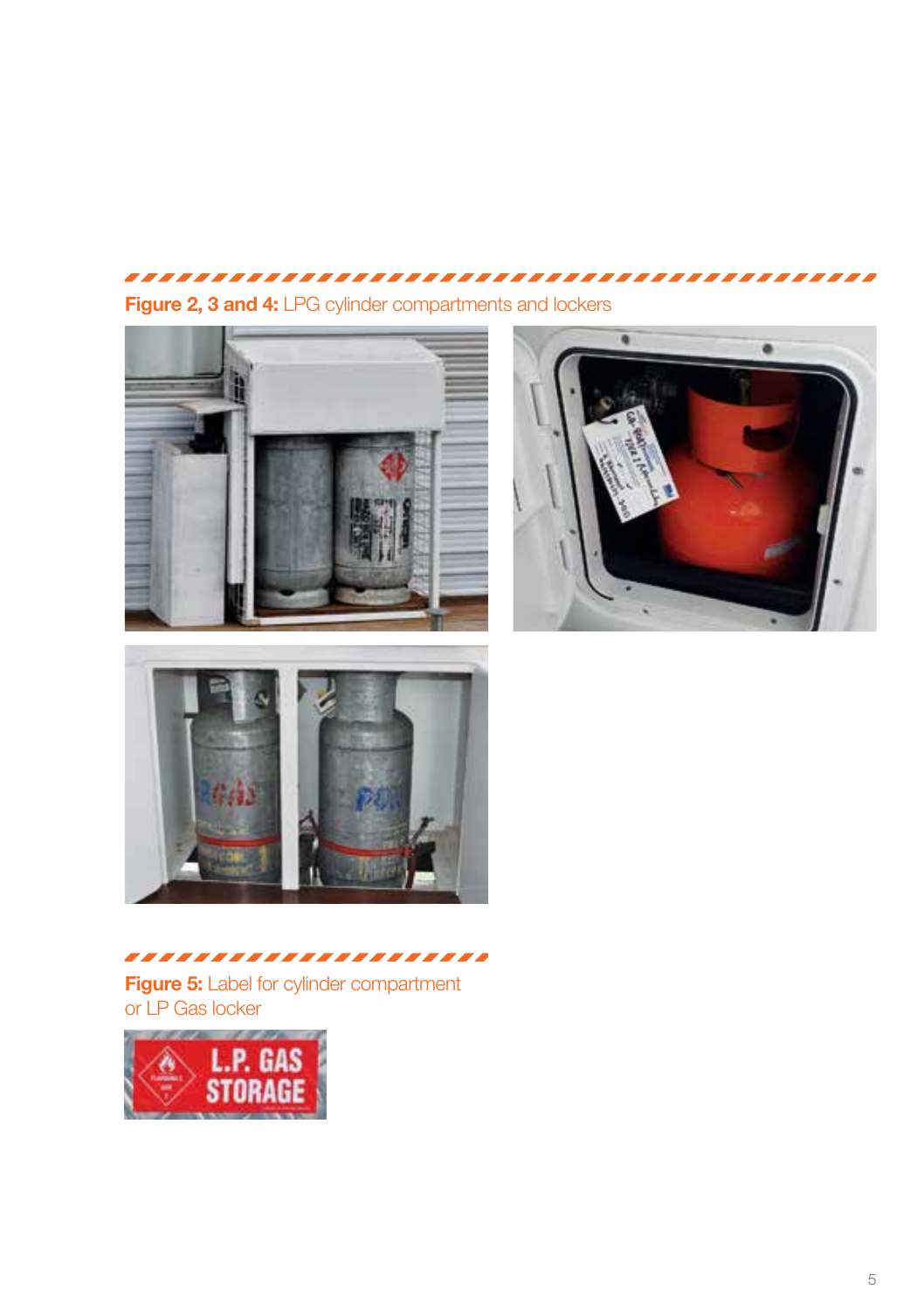# 

Figure 2, 3 and 4: LPG cylinder compartments and lockers







,,,,,,,,,,,,,,,,,,,,,, **Figure 5:** Label for cylinder compartment or LP Gas locker

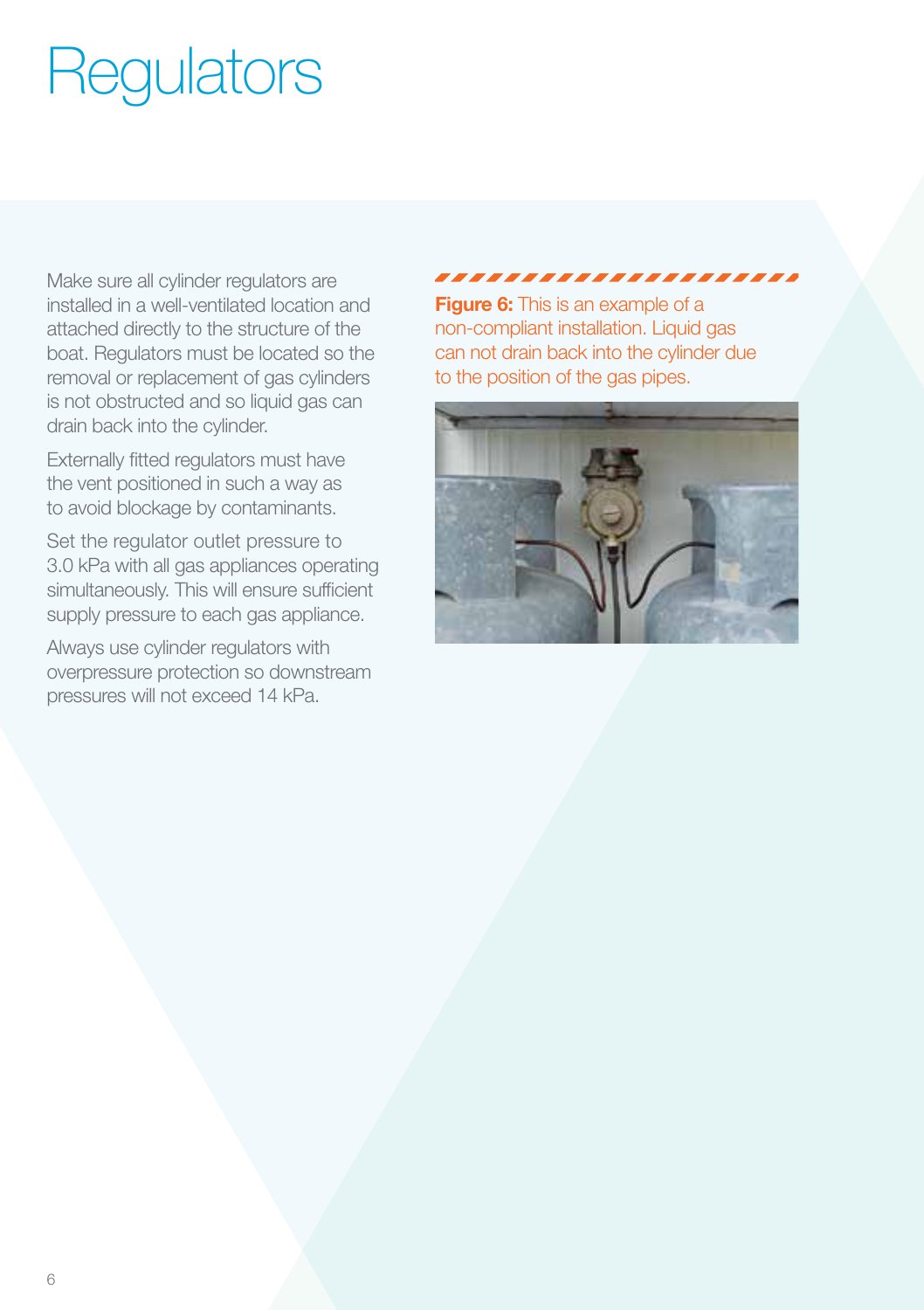# **Regulators**

Make sure all cylinder regulators are installed in a well-ventilated location and attached directly to the structure of the boat. Regulators must be located so the removal or replacement of gas cylinders is not obstructed and so liquid gas can drain back into the cylinder.

Externally fitted regulators must have the vent positioned in such a way as to avoid blockage by contaminants.

Set the regulator outlet pressure to 3.0 kPa with all gas appliances operating simultaneously. This will ensure sufficient supply pressure to each gas appliance.

Always use cylinder regulators with overpressure protection so downstream pressures will not exceed 14 kPa.

#### ,,,,,,,,,,,,,,,,,,,,,,

**Figure 6:** This is an example of a non-compliant installation. Liquid gas can not drain back into the cylinder due to the position of the gas pipes.

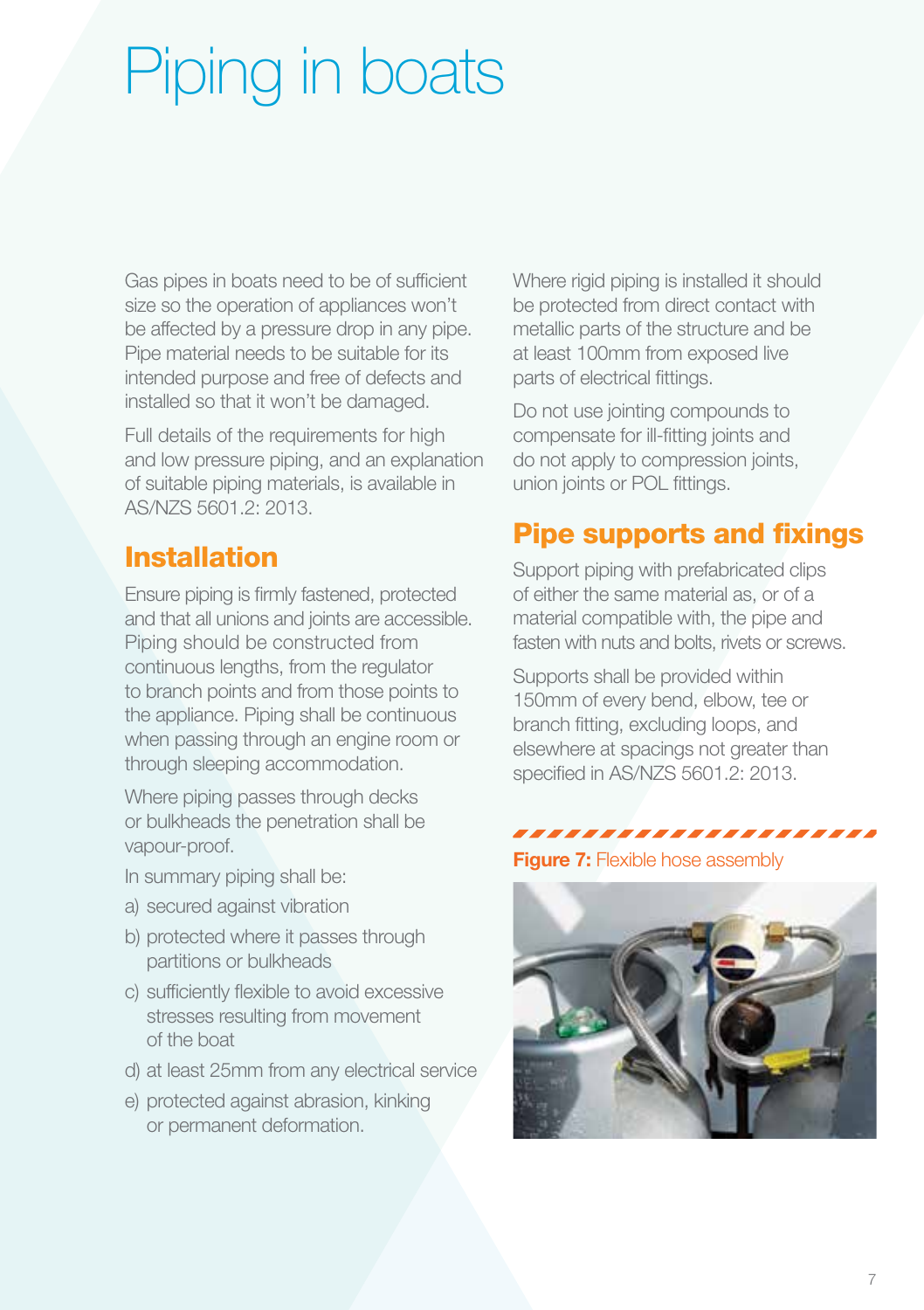# Piping in boats

Gas pipes in boats need to be of sufficient size so the operation of appliances won't be affected by a pressure drop in any pipe. Pipe material needs to be suitable for its intended purpose and free of defects and installed so that it won't be damaged.

Full details of the requirements for high and low pressure piping, and an explanation of suitable piping materials, is available in AS/NZS 5601.2: 2013.

# Installation

Ensure piping is firmly fastened, protected and that all unions and joints are accessible. Piping should be constructed from continuous lengths, from the regulator to branch points and from those points to the appliance. Piping shall be continuous when passing through an engine room or through sleeping accommodation.

Where piping passes through decks or bulkheads the penetration shall be vapour-proof.

- In summary piping shall be:
- a) secured against vibration
- b) protected where it passes through partitions or bulkheads
- c) sufficiently flexible to avoid excessive stresses resulting from movement of the boat
- d) at least 25mm from any electrical service
- e) protected against abrasion, kinking or permanent deformation.

Where rigid piping is installed it should be protected from direct contact with metallic parts of the structure and be at least 100mm from exposed live parts of electrical fittings.

Do not use jointing compounds to compensate for ill-fitting joints and do not apply to compression joints, union joints or POL fittings.

# Pipe supports and fixings

Support piping with prefabricated clips of either the same material as, or of a material compatible with, the pipe and fasten with nuts and bolts, rivets or screws.

Supports shall be provided within 150mm of every bend, elbow, tee or branch fitting, excluding loops, and elsewhere at spacings not greater than specified in AS/NZS 5601.2: 2013.

#### ,,,,,,,,,,,,,,,,,,,

**Figure 7:** Flexible hose assembly

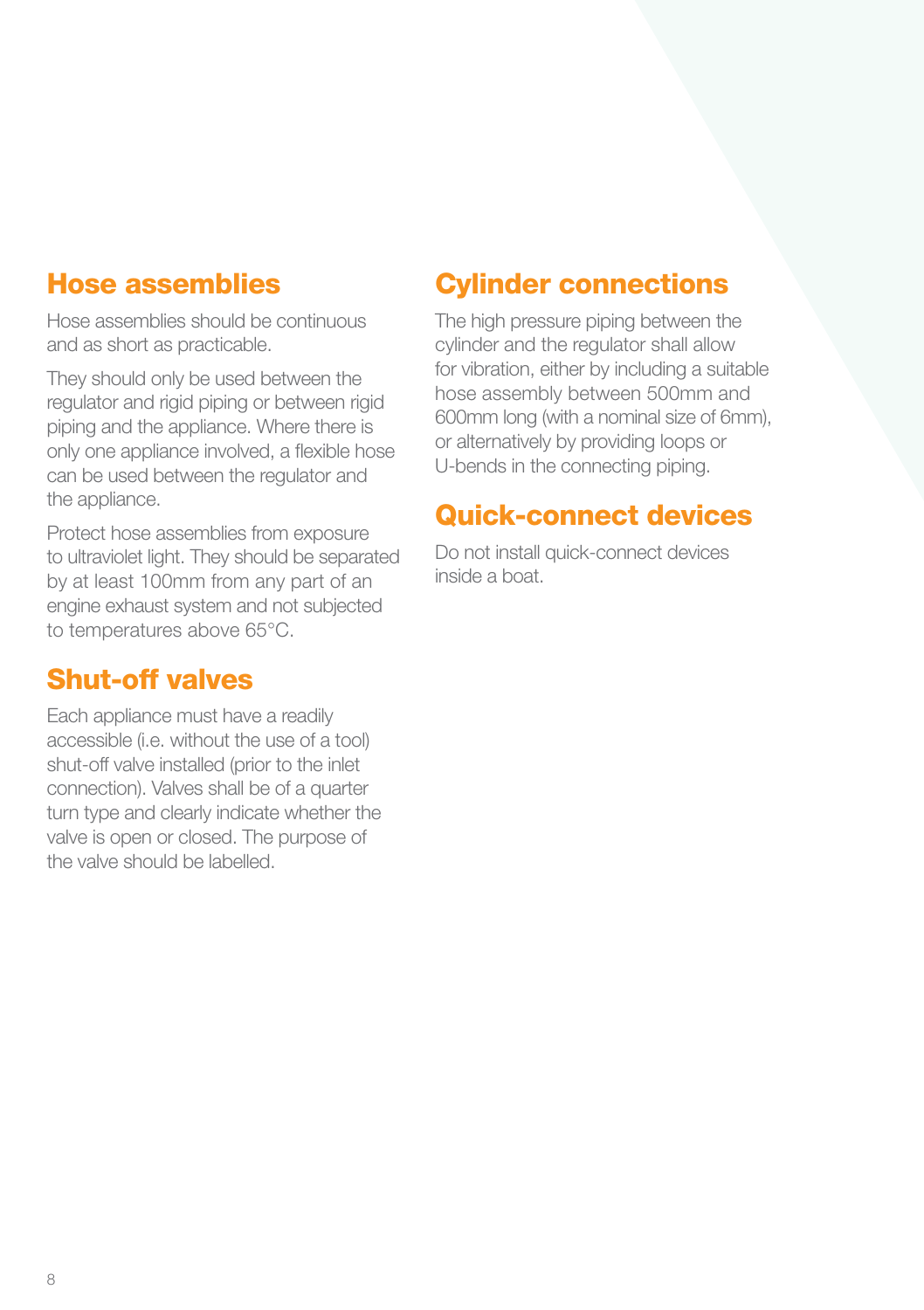## Hose assemblies

Hose assemblies should be continuous and as short as practicable.

They should only be used between the regulator and rigid piping or between rigid piping and the appliance. Where there is only one appliance involved, a flexible hose can be used between the regulator and the appliance.

Protect hose assemblies from exposure to ultraviolet light. They should be separated by at least 100mm from any part of an engine exhaust system and not subjected to temperatures above 65°C.

## Shut-off valves

Each appliance must have a readily accessible (i.e. without the use of a tool) shut-off valve installed (prior to the inlet connection). Valves shall be of a quarter turn type and clearly indicate whether the valve is open or closed. The purpose of the valve should be labelled.

## Cylinder connections

The high pressure piping between the cylinder and the regulator shall allow for vibration, either by including a suitable hose assembly between 500mm and 600mm long (with a nominal size of 6mm), or alternatively by providing loops or U-bends in the connecting piping.

## Quick-connect devices

Do not install quick-connect devices inside a boat.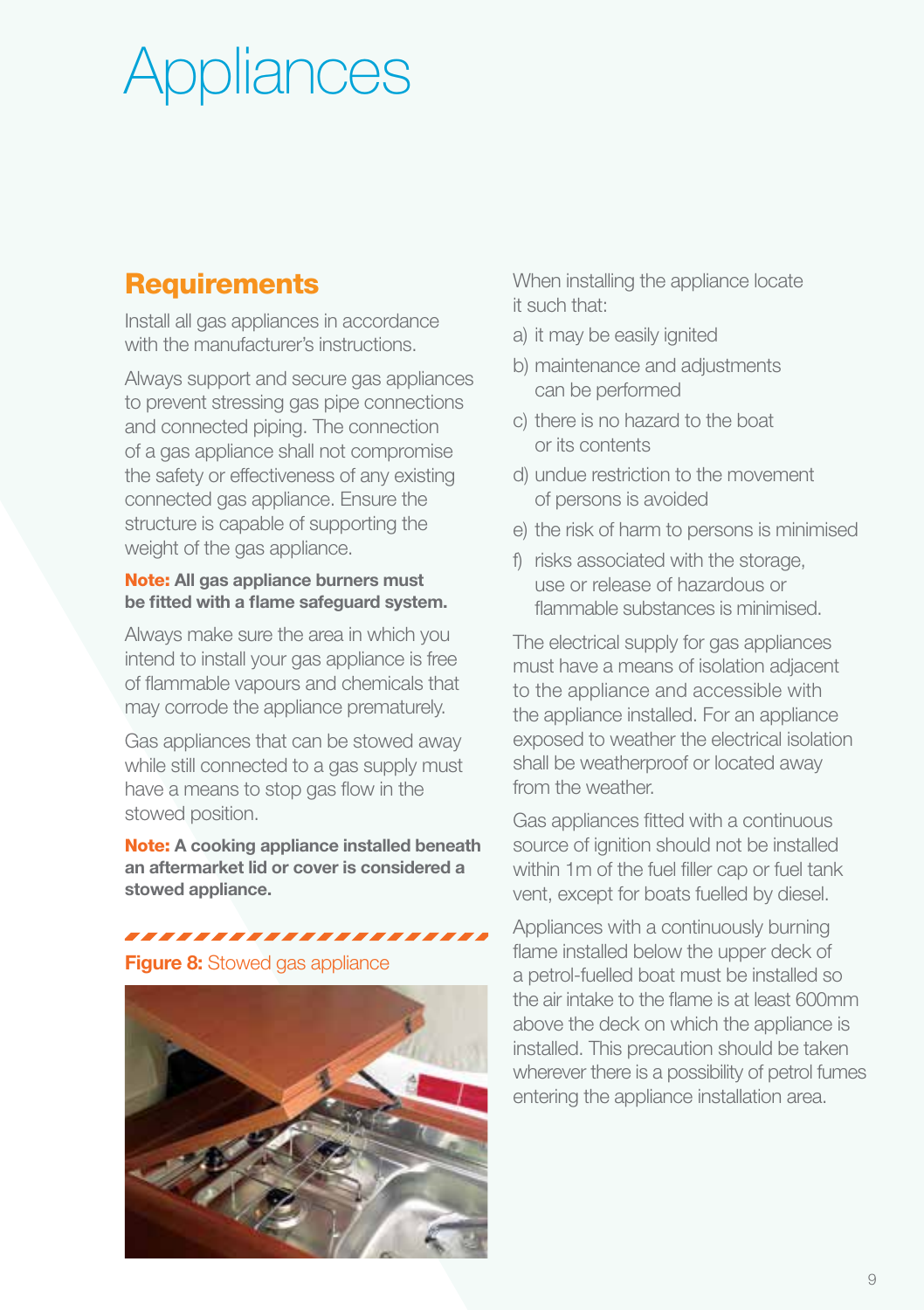# **Appliances**

# **Requirements**

Install all gas appliances in accordance with the manufacturer's instructions.

Always support and secure gas appliances to prevent stressing gas pipe connections and connected piping. The connection of a gas appliance shall not compromise the safety or effectiveness of any existing connected gas appliance. Ensure the structure is capable of supporting the weight of the gas appliance.

### Note: All gas appliance burners must be fitted with a flame safeguard system.

Always make sure the area in which you intend to install your gas appliance is free of flammable vapours and chemicals that may corrode the appliance prematurely.

Gas appliances that can be stowed away while still connected to a gas supply must have a means to stop gas flow in the stowed position.

Note: A cooking appliance installed beneath an aftermarket lid or cover is considered a stowed appliance.

,,,,,,,,,,,,,,,,,,,,,,

**Figure 8:** Stowed gas appliance



When installing the appliance locate it such that:

- a) it may be easily ignited
- b) maintenance and adjustments can be performed
- c) there is no hazard to the boat or its contents
- d) undue restriction to the movement of persons is avoided
- e) the risk of harm to persons is minimised
- f) risks associated with the storage, use or release of hazardous or flammable substances is minimised.

The electrical supply for gas appliances must have a means of isolation adjacent to the appliance and accessible with the appliance installed. For an appliance exposed to weather the electrical isolation shall be weatherproof or located away from the weather

Gas appliances fitted with a continuous source of ignition should not be installed within 1m of the fuel filler cap or fuel tank vent, except for boats fuelled by diesel.

Appliances with a continuously burning flame installed below the upper deck of a petrol-fuelled boat must be installed so the air intake to the flame is at least 600mm above the deck on which the appliance is installed. This precaution should be taken wherever there is a possibility of petrol fumes entering the appliance installation area.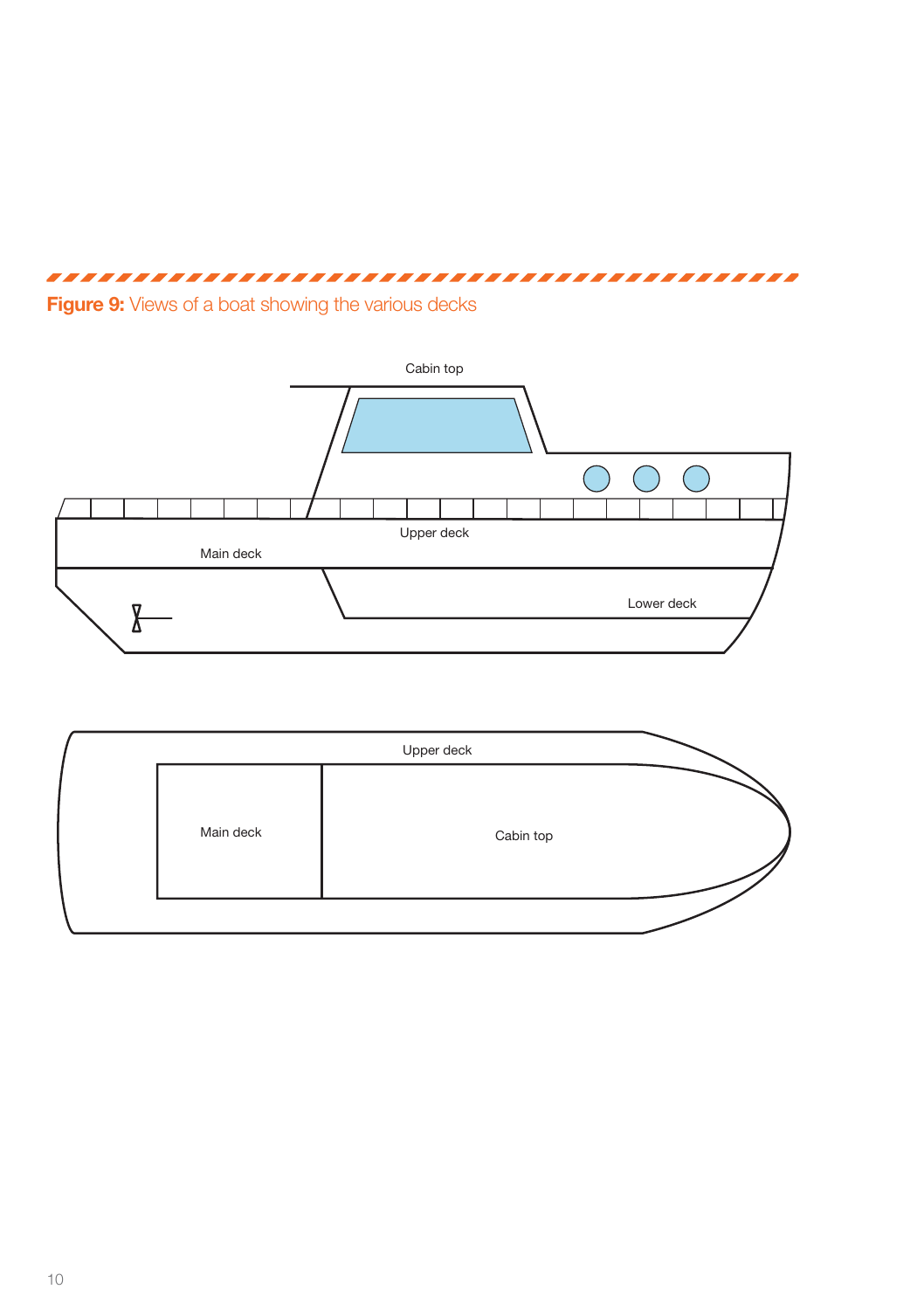# 





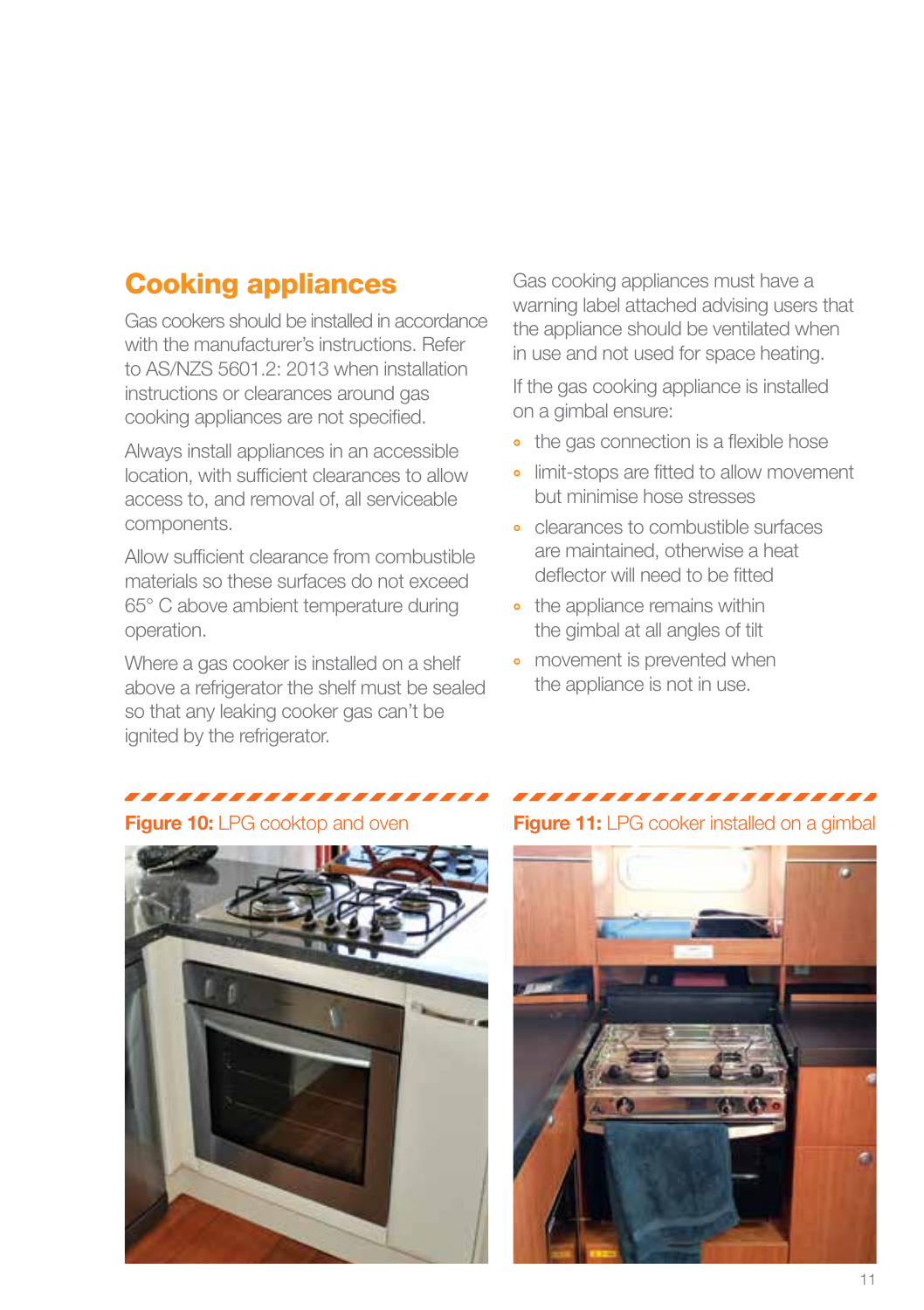# Cooking appliances

Gas cookers should be installed in accordance with the manufacturer's instructions. Refer to AS/NZS 5601.2: 2013 when installation instructions or clearances around gas cooking appliances are not specified.

Always install appliances in an accessible location, with sufficient clearances to allow access to, and removal of, all serviceable components.

Allow sufficient clearance from combustible materials so these surfaces do not exceed 65° C above ambient temperature during operation.

Where a gas cooker is installed on a shelf above a refrigerator the shelf must be sealed so that any leaking cooker gas can't be ignited by the refrigerator.

Gas cooking appliances must have a warning label attached advising users that the appliance should be ventilated when in use and not used for space heating.

If the gas cooking appliance is installed on a gimbal ensure:

- the gas connection is a flexible hose
- limit-stops are fitted to allow movement but minimise hose stresses
- ° clearances to combustible surfaces are maintained, otherwise a heat deflector will need to be fitted
- the appliance remains within the gimbal at all angles of tilt
- movement is prevented when the appliance is not in use.

## ,,,,,,,,,,,,,,,,,,,,,



### ,,,,,,,,,,,,,,,,,,,,,,

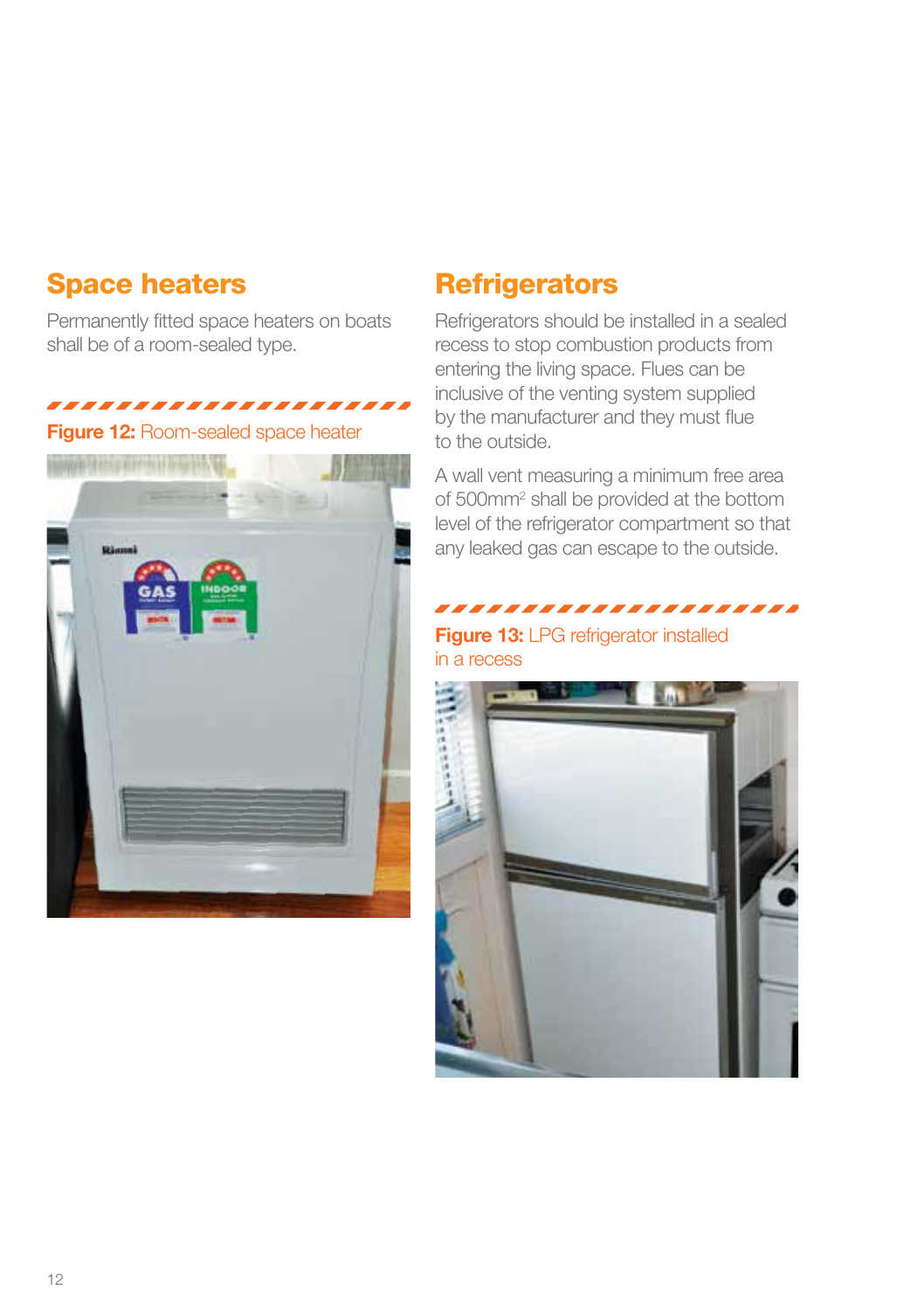## Space heaters

Permanently fitted space heaters on boats shall be of a room-sealed type.

# ,,,,,,,,,,,,,,,,,,,,,

Figure 12: Room-sealed space heater



### **Refrigerators**

Refrigerators should be installed in a sealed recess to stop combustion products from entering the living space. Flues can be inclusive of the venting system supplied by the manufacturer and they must flue to the outside.

A wall vent measuring a minimum free area of 500mm<sup>2</sup> shall be provided at the bottom level of the refrigerator compartment so that any leaked gas can escape to the outside.

,,,,,,,,,,,,,,,,,,,,,,

### Figure 13: LPG refrigerator installed in a recess

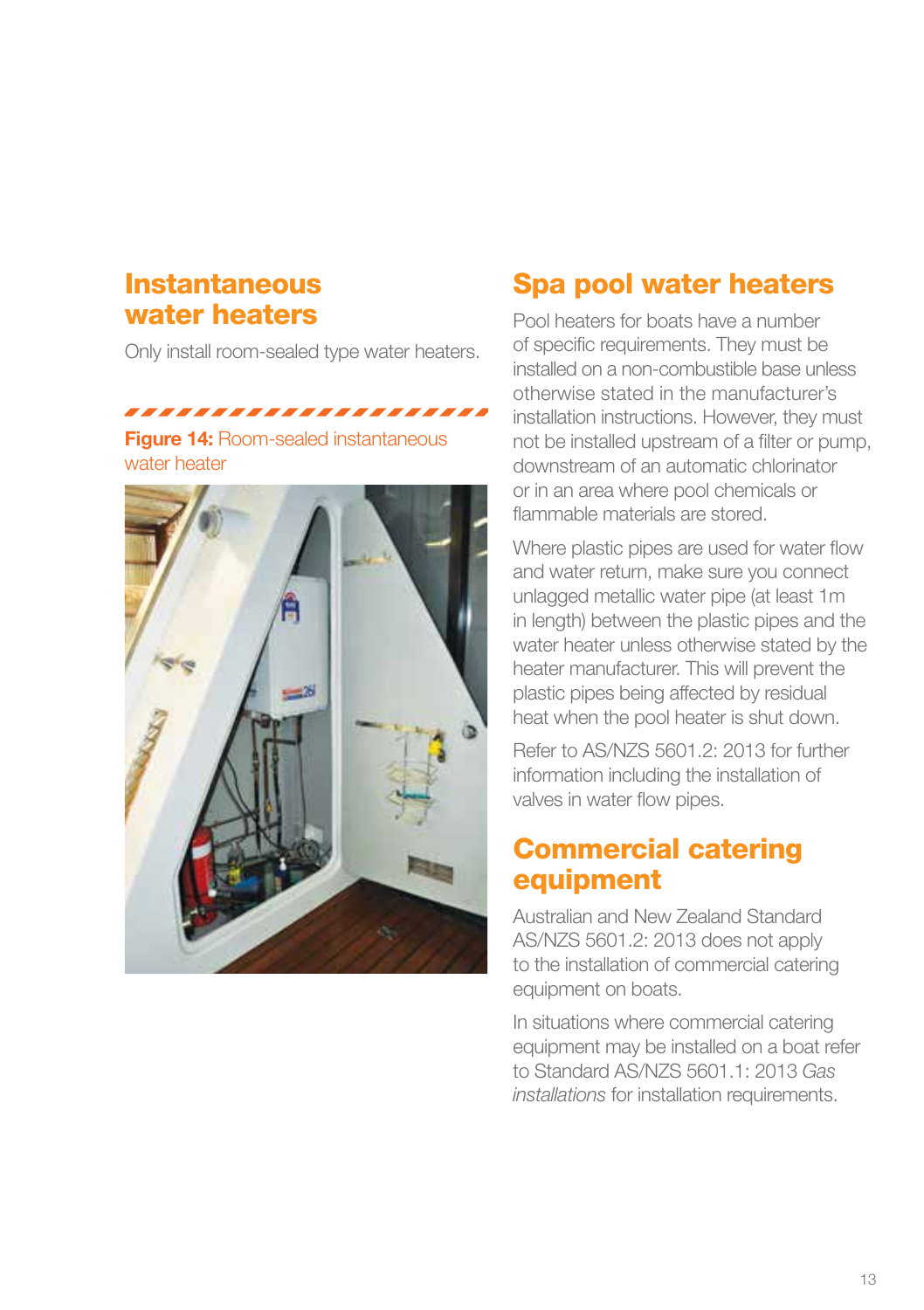## **Instantaneous** water heaters

Only install room-sealed type water heaters.

,,,,,,,,,,,,,,,,,,,,,, **Figure 14: Room-sealed instantaneous** 

water heater



# Spa pool water heaters

Pool heaters for boats have a number of specific requirements. They must be installed on a non-combustible base unless otherwise stated in the manufacturer's installation instructions. However, they must not be installed upstream of a filter or pump, downstream of an automatic chlorinator or in an area where pool chemicals or flammable materials are stored.

Where plastic pipes are used for water flow and water return, make sure you connect unlagged metallic water pipe (at least 1m in length) between the plastic pipes and the water heater unless otherwise stated by the heater manufacturer. This will prevent the plastic pipes being affected by residual heat when the pool heater is shut down.

Refer to AS/NZS 5601.2: 2013 for further information including the installation of valves in water flow pipes.

# Commercial catering equipment

Australian and New Zealand Standard AS/NZS 5601.2: 2013 does not apply to the installation of commercial catering equipment on boats.

In situations where commercial catering equipment may be installed on a boat refer to Standard AS/NZS 5601.1: 2013 *Gas installations* for installation requirements.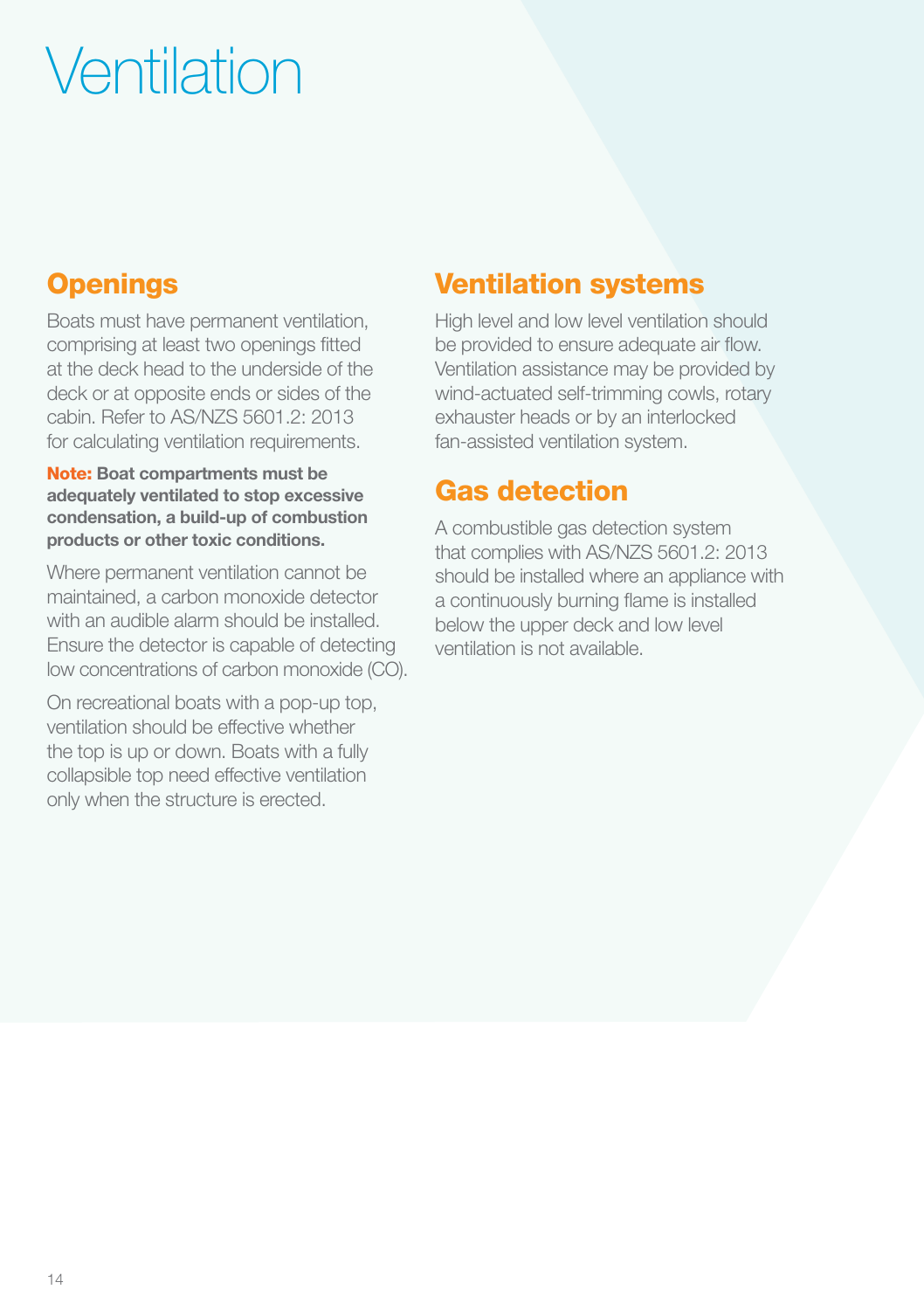# **Ventilation**

# **Openings**

Boats must have permanent ventilation, comprising at least two openings fitted at the deck head to the underside of the deck or at opposite ends or sides of the cabin. Refer to AS/NZS 5601.2: 2013 for calculating ventilation requirements.

Note: Boat compartments must be adequately ventilated to stop excessive condensation, a build-up of combustion products or other toxic conditions.

Where permanent ventilation cannot be maintained, a carbon monoxide detector with an audible alarm should be installed. Ensure the detector is capable of detecting low concentrations of carbon monoxide (CO).

On recreational boats with a pop-up top, ventilation should be effective whether the top is up or down. Boats with a fully collapsible top need effective ventilation only when the structure is erected.

# Ventilation systems

High level and low level ventilation should be provided to ensure adequate air flow. Ventilation assistance may be provided by wind-actuated self-trimming cowls, rotary exhauster heads or by an interlocked fan-assisted ventilation system.

# Gas detection

A combustible gas detection system that complies with AS/NZS 5601.2: 2013 should be installed where an appliance with a continuously burning flame is installed below the upper deck and low level ventilation is not available.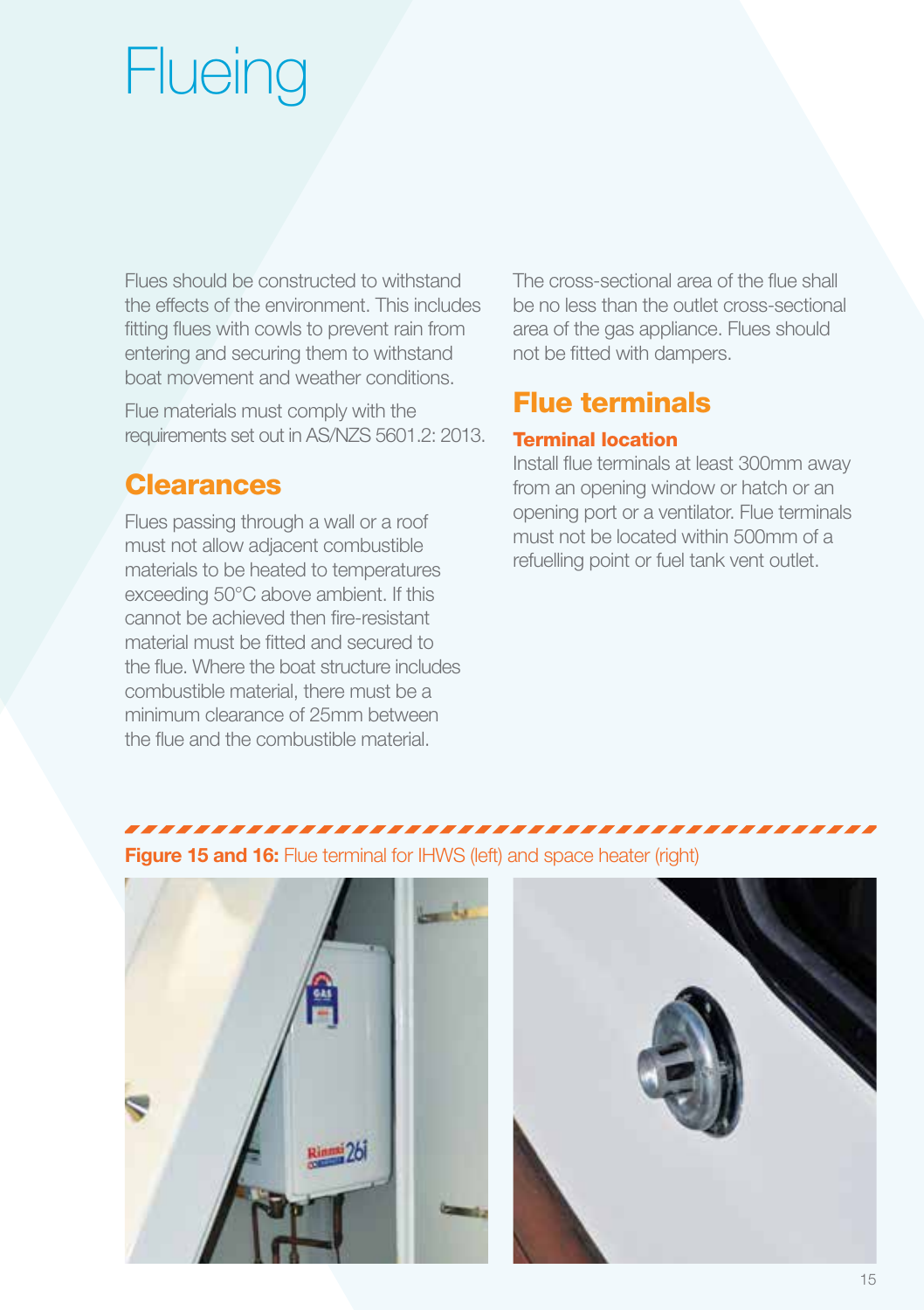# **Flueing**

Flues should be constructed to withstand the effects of the environment. This includes fitting flues with cowls to prevent rain from entering and securing them to withstand boat movement and weather conditions.

Flue materials must comply with the requirements set out in AS/NZS 5601.2: 2013.

# Clearances

Flues passing through a wall or a roof must not allow adjacent combustible materials to be heated to temperatures exceeding 50°C above ambient. If this cannot be achieved then fire-resistant material must be fitted and secured to the flue. Where the boat structure includes combustible material, there must be a minimum clearance of 25mm between the flue and the combustible material.

The cross-sectional area of the flue shall be no less than the outlet cross-sectional area of the gas appliance. Flues should not be fitted with dampers.

# Flue terminals

### Terminal location

Install flue terminals at least 300mm away from an opening window or hatch or an opening port or a ventilator. Flue terminals must not be located within 500mm of a refuelling point or fuel tank vent outlet.





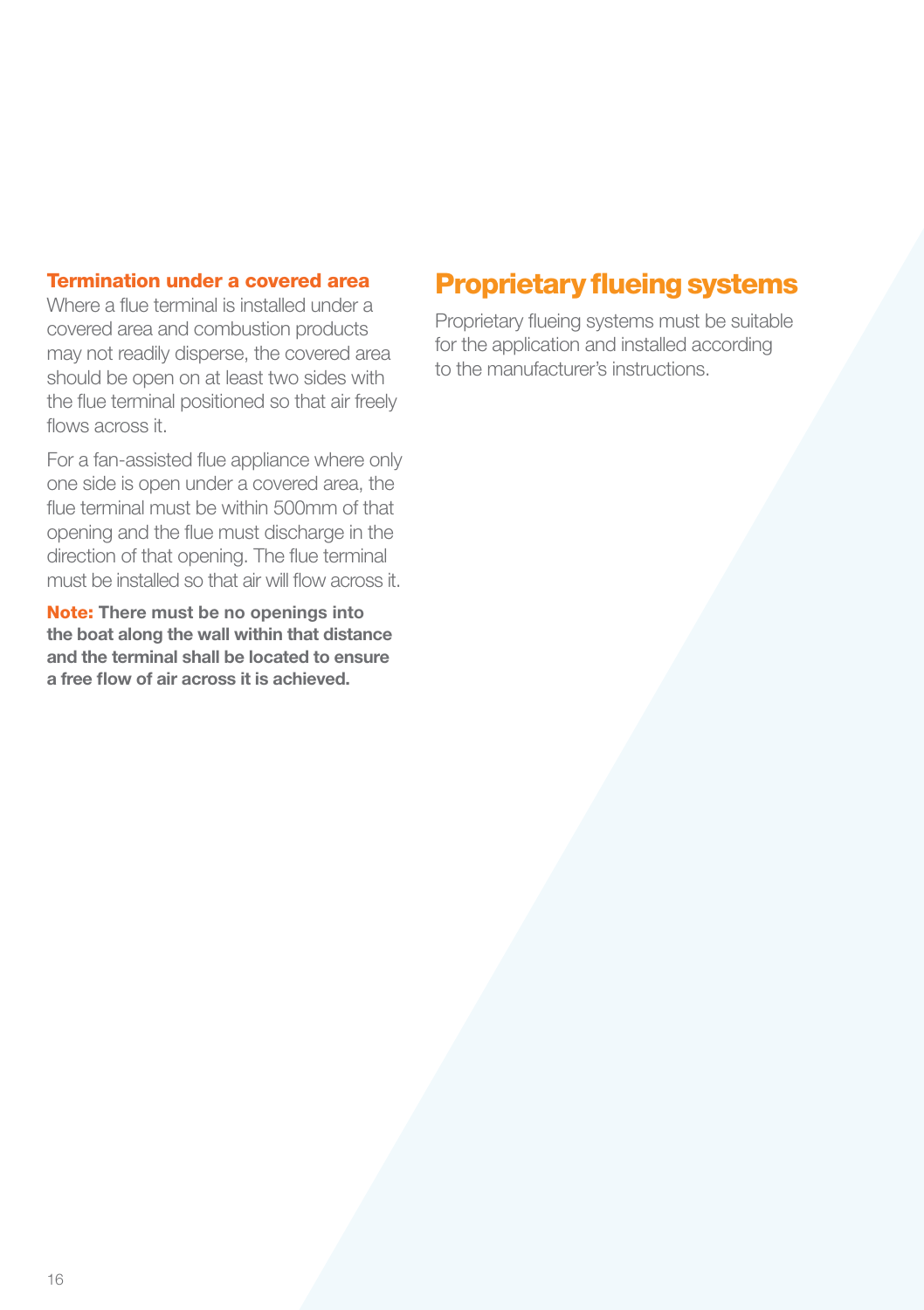#### Termination under a covered area

Where a flue terminal is installed under a covered area and combustion products may not readily disperse, the covered area should be open on at least two sides with the flue terminal positioned so that air freely flows across it.

For a fan-assisted flue appliance where only one side is open under a covered area, the flue terminal must be within 500mm of that opening and the flue must discharge in the direction of that opening. The flue terminal must be installed so that air will flow across it.

Note: There must be no openings into the boat along the wall within that distance and the terminal shall be located to ensure a free flow of air across it is achieved.

## Proprietary flueing systems

Proprietary flueing systems must be suitable for the application and installed according to the manufacturer's instructions.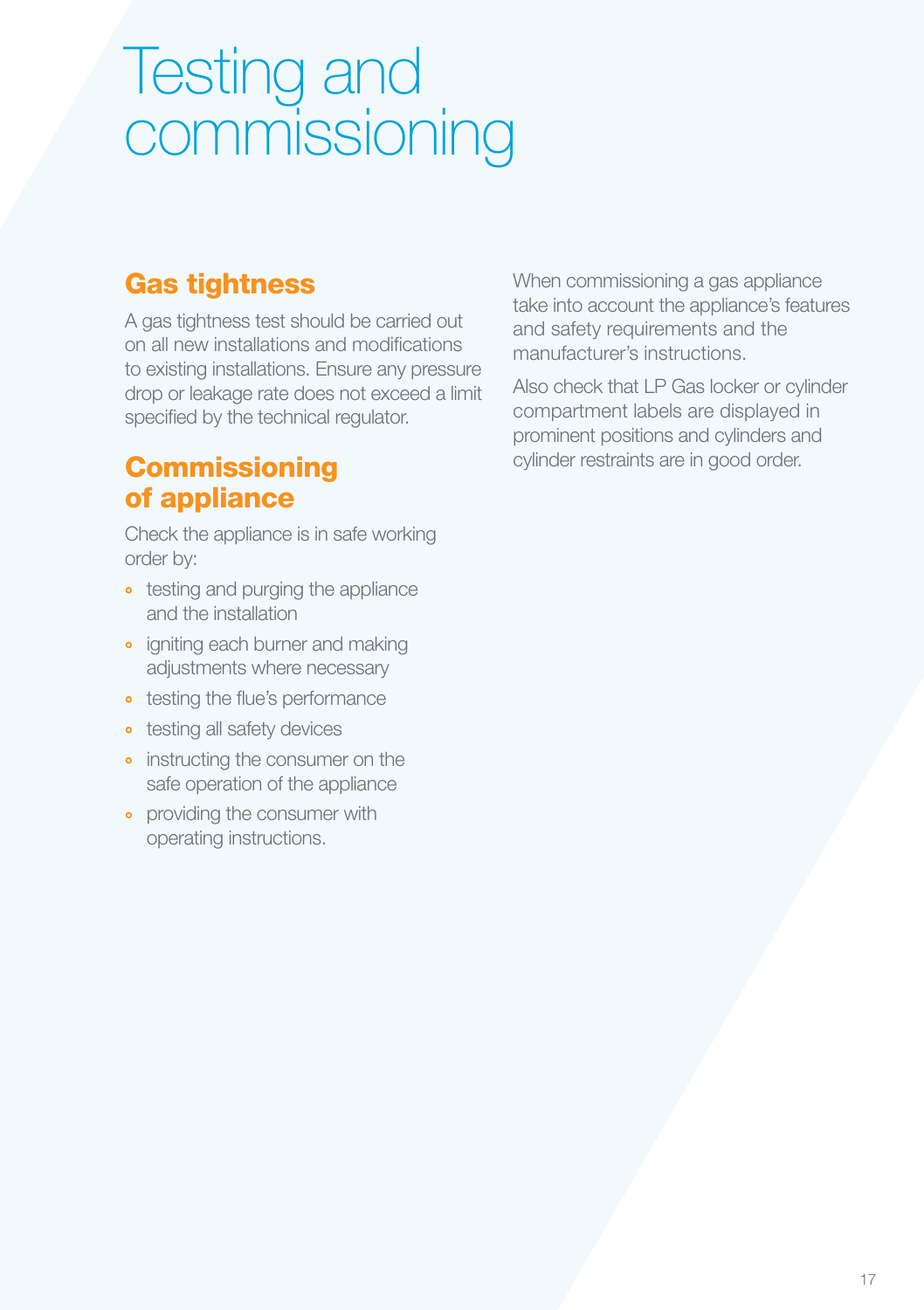# Testing and commissioning

# Gas tightness

A gas tightness test should be carried out on all new installations and modifications to existing installations. Ensure any pressure drop or leakage rate does not exceed a limit specified by the technical regulator.

# **Commissioning** of appliance

Check the appliance is in safe working order by:

- testing and purging the appliance and the installation
- igniting each burner and making adjustments where necessary
- testing the flue's performance
- testing all safety devices
- instructing the consumer on the safe operation of the appliance
- providing the consumer with operating instructions.

When commissioning a gas appliance take into account the appliance's features and safety requirements and the manufacturer's instructions.

Also check that LP Gas locker or cylinder compartment labels are displayed in prominent positions and cylinders and cylinder restraints are in good order.